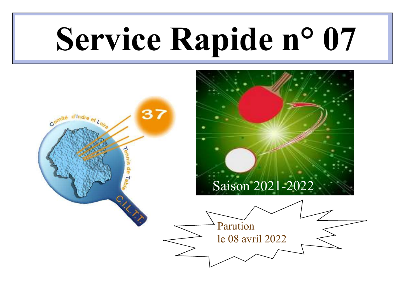# Service Rapide n° 07

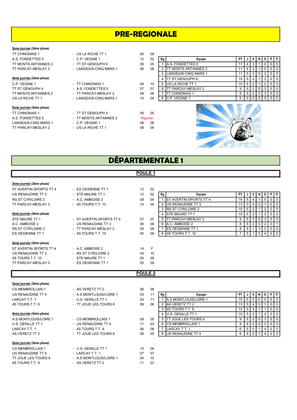## PRE-REGIONALE

#### 3ème journée (2ème phase)

#### 4ème journée (2ème phase)

## 5ème journée (2ème phase)

TT CHINONAIS 1 <sup>-</sup> TT ST GENOUPH 4 09 05<br>
A.S. FONDETTES 5 - TT MONTS ARTANNES 2 Reporté LANGEAIS-CINQ MARS 1 - C.P. VEIGNE 1 08 06<br>TT PARCAY-MESLAY 2 - US LA RICHE TT 1 08 06 TT PARCAY-MESLAY 2

| <b>TT CHINONAIS 1</b>     | - US LA RICHE TT 1     | 05 | 09 |
|---------------------------|------------------------|----|----|
| A.S. FONDETTES 5          | - C.P. VEIGNE 1        | 12 | 02 |
| TT MONTS ARTANNES 2       | - TT ST GENOUPH 4      | 09 | 05 |
| TT PARCAY-MESLAY 2        | - LANGEAIS-CINQ MARS 1 | 06 | 08 |
| 4ème journée (2ème phase) |                        |    |    |
| C.P. VEIGNE 1             | - TT CHINONAIS 1       | 04 | 10 |
| TT ST GENOUPH 4           | - A.S. FONDETTES 5     | 07 | 07 |
| TT MONTS ARTANNES 2       | - TT PARCAY-MESLAY 2   | 08 | 06 |
| US LA RICHE TT 1          | - LANGEAIS-CINQ MARS 1 | 10 | 04 |
|                           |                        |    |    |

- TT MONTS ARTANNES 2<br>- C.P. VEIGNE 1 Reporté
	-

|                                  | <u>UU LIIILUILEII I</u> | ັບບ               | ັບປ |    |                              |    |       |     |  |     |         |
|----------------------------------|-------------------------|-------------------|-----|----|------------------------------|----|-------|-----|--|-----|---------|
| A.S. FONDETTES 5                 | $-$ C.P. VEIGNE 1       | $12 \overline{ }$ | 02  | Rg | Equipe                       | PΤ |       |     |  | PFI |         |
| TT MONTS ARTANNES 2              | - TT ST GENOUPH 4       | 09                | 05  |    | <b>IA.S. FONDETTES 5</b>     |    |       | ు   |  |     | 0 1 0 1 |
| TT PARCAY-MESLAY 2               | - LANGEAIS-CINQ MARS 1  | 06                | 08  |    | <b>ITT MONTS ARTANNES 2</b>  |    |       |     |  |     | 00      |
|                                  |                         |                   |     |    | <b>ILANGEAIS-CINQ MARS 1</b> |    |       | 513 |  |     | 0 1 0 1 |
| 4ème journée <i>(2ème phase)</i> |                         |                   |     |    | <b>ITT ST GENOUPH 4</b>      | 10 | 5   2 |     |  |     | 0 1 0 1 |
| C.P. VEIGNE 1                    | - TT CHINONAIS 1        | 04                | 10  |    | <b>IUS LA RICHE TT 1</b>     | 10 |       |     |  |     | 0101    |
| TT ST GENOUPH 4                  | - A.S. FONDETTES 5      | 07                | 07  |    | <b>ITT PARCAY-MESLAY 2</b>   |    |       |     |  |     | 0   0   |
| TT MONTS ARTANNES 2              | - TT PARCAY-MESLAY 2    | 08                | 06  |    | <b>TT CHINONAIS 1</b>        |    |       |     |  |     | 0101    |
| US LA RICHE TT 1                 | - LANGEAIS-CINQ MARS 1  | 10                | 04  |    | IC.P. VEIGNE 1               |    |       | 510 |  |     | 0 1 0 1 |



## DÉPARTEMENTALE 1

## 3ème journée (2ème phase)

| ST AVERTIN SPORTS TT 4<br>US RENAUDINE TT 3<br><b>RS ST CYR/LOIRE 2</b> | - ES OESIENNE TT 1<br>- STE MAURE TT 1<br>- A.C. AMBOISE 2 | 12<br>12<br>09 | 02 <sup>°</sup><br>02<br>05 |
|-------------------------------------------------------------------------|------------------------------------------------------------|----------------|-----------------------------|
| TT PARCAY-MESLAY 3                                                      | - 4S TOURS T.T. 10                                         | 10             | 04                          |
| 4ème journée (2ème phase)                                               |                                                            |                |                             |
| STE MAURE TT 1                                                          | - ST AVERTIN SPORTS TT 4                                   | 07             | 07                          |
| A.C. AMBOISE 2                                                          | - US RENAUDINE TT 3                                        | 06             | 08                          |
| <b>RS ST CYR/LOIRE 2</b>                                                | - TT PARCAY-MESLAY 3                                       | 05             | 09                          |
| <b>ES OESIENNE TT 1</b>                                                 | - 4S TOURS T.T. 10                                         | 05             | 09                          |
| Sème journée (2ème phase)                                               |                                                            |                |                             |
| ST AVERTIN SPORTS TT 4                                                  | - A.C. AMBOISE 2                                           | 14             | F                           |
| US RENAUDINE TT 3                                                       | <b>RS ST CYR/LOIRE 2</b>                                   | 04             | 10                          |
| 4S TOURS T.T. 10                                                        | - STE MAURE TT 1                                           | 05             | 09                          |
| TT PARCAY-MESLAY 3                                                      | ES OESIENNE TT 1                                           | 05             | 09                          |

| PIF<br>US RENAUDINE TT 3<br>02<br>- STE MAURE TT 1<br>Equipe<br>12<br>PT I<br>Ra<br>1 V I N I<br>D I<br>. J<br>RS ST CYR/LOIRE 2<br><b>IST AVERTIN SPORTS TT 4</b><br>- A.C. AMBOISE 2<br>05<br>09<br>$01$ 0<br>14<br>5<br><b>IUS RENAUDINE TT 3</b><br>- 4S TOURS T.T. 10<br>TT PARCAY-MESLAY 3<br>04<br>0 <sub>0</sub><br>10<br>13<br>-5<br>4 I O<br>3 IRS ST CYR/LOIRE 2<br>0 <sub>0</sub><br>10 I<br>-5<br><u>4ème journée (2ème phase)</u><br>4 ISTE MAURE TT 1<br>10  <br>0 <sub>0</sub><br>5<br><b>ITT PARCAY-MESLAY 3</b><br>STE MAURE TT 1<br>- ST AVERTIN SPORTS TT 4<br>07<br>0 <sub>0</sub><br>07<br>5<br>IA.C. AMBOISE 2<br>A.C. AMBOISE 2<br>- US RENAUDINE TT 3<br>06<br>08<br>8<br>RS ST CYR/LOIRE 2<br><b>IES OESIENNE TT 1</b><br>- TT PARCAY-MESLAY 3<br>05<br>09<br>0 1 0<br>8<br>ES OESIENNE TT 1<br><b>I4S TOURS T.T. 10</b><br>- 4S TOURS T.T. 10<br>09<br>05<br>0   0 |  |  |  |  |  |  |  |
|-----------------------------------------------------------------------------------------------------------------------------------------------------------------------------------------------------------------------------------------------------------------------------------------------------------------------------------------------------------------------------------------------------------------------------------------------------------------------------------------------------------------------------------------------------------------------------------------------------------------------------------------------------------------------------------------------------------------------------------------------------------------------------------------------------------------------------------------------------------------------------------------------|--|--|--|--|--|--|--|
|                                                                                                                                                                                                                                                                                                                                                                                                                                                                                                                                                                                                                                                                                                                                                                                                                                                                                               |  |  |  |  |  |  |  |
|                                                                                                                                                                                                                                                                                                                                                                                                                                                                                                                                                                                                                                                                                                                                                                                                                                                                                               |  |  |  |  |  |  |  |
|                                                                                                                                                                                                                                                                                                                                                                                                                                                                                                                                                                                                                                                                                                                                                                                                                                                                                               |  |  |  |  |  |  |  |
|                                                                                                                                                                                                                                                                                                                                                                                                                                                                                                                                                                                                                                                                                                                                                                                                                                                                                               |  |  |  |  |  |  |  |
|                                                                                                                                                                                                                                                                                                                                                                                                                                                                                                                                                                                                                                                                                                                                                                                                                                                                                               |  |  |  |  |  |  |  |
|                                                                                                                                                                                                                                                                                                                                                                                                                                                                                                                                                                                                                                                                                                                                                                                                                                                                                               |  |  |  |  |  |  |  |
|                                                                                                                                                                                                                                                                                                                                                                                                                                                                                                                                                                                                                                                                                                                                                                                                                                                                                               |  |  |  |  |  |  |  |
|                                                                                                                                                                                                                                                                                                                                                                                                                                                                                                                                                                                                                                                                                                                                                                                                                                                                                               |  |  |  |  |  |  |  |
|                                                                                                                                                                                                                                                                                                                                                                                                                                                                                                                                                                                                                                                                                                                                                                                                                                                                                               |  |  |  |  |  |  |  |

## POULE 2

| 3ème journée (2ème phase) |                         |    |    |    |                               |           |                |                |   |                |             |           |
|---------------------------|-------------------------|----|----|----|-------------------------------|-----------|----------------|----------------|---|----------------|-------------|-----------|
| <b>CS MEMBROLLAIS 1</b>   | - AS VERETZ TT 2        | 06 | 08 |    |                               |           |                |                |   |                |             |           |
| US RENAUDINE TT 4         | - A.S MONTLOUIS/LOIRE 1 | 03 | 11 | Rq | Equipe                        | <b>PT</b> |                |                |   |                |             | PFI       |
| LARCAY T.T. 1             | - U.S. GENILLE TT 1     | 03 | 11 |    | <b>JA.S MONTLOUIS/LOIRE 1</b> | 15        | 5 <sup>5</sup> | 5              | 0 |                | $0 1 0 1 0$ |           |
| 4S TOURS T.T. 9           | - TT JOUE LES TOURS 6   | 08 | 06 |    | <b>IAS VERETZ TT 2</b>        | 13        | 5              | 4              |   |                |             | $0$   $0$ |
|                           |                         |    |    |    | 3 14S TOURS T.T. 9            | 12        | 5              | 3              |   |                |             | $0$   $0$ |
| 4ème journée (2ème phase) |                         |    |    |    | 4 IU.S. GENILLE TT 1          | 10        | 5              | 2              |   | $\overline{2}$ |             | $0 1 0 1$ |
| A.S MONTLOUIS/LOIRE 1     | - CS MEMBROLLAIS 1      | 09 | 05 |    | 5 ITT JOUE LES TOURS 6        | 9         | 5              | $\overline{2}$ | 0 | 3              |             | $0$   $0$ |
| U.S. GENILLE TT 1         | - US RENAUDINE TT 4     | 11 | 03 |    | 6 ICS MEMBROLLAIS 1           | 9         | 5              | 2              |   | 3 <sup>1</sup> |             | $0$   $0$ |
| LARCAY T.T. 1             | - 4S TOURS T.T. 9       | 06 | 08 |    | LARCAY T.T. 1                 | 6         | 5              | 0              |   | 4              |             | $0$   $0$ |
| AS VERETZ TT 2            | - TT JOUE LES TOURS 6   | 09 | 05 |    | 8 IUS RENAUDINE TT 4          | 6         | 5 <sup>1</sup> | $\mathbf 0$    |   |                | 4 0 0       |           |
| 5ème journée (2ème phase) |                         |    |    |    |                               |           |                |                |   |                |             |           |
| <b>CS MEMBROLLAIS 1</b>   | - U.S. GENILLE TT 1     | 10 | 04 |    |                               |           |                |                |   |                |             |           |
| US RENAUDINE TT 4         | - LARCAY T.T. 1         | 07 | 07 |    |                               |           |                |                |   |                |             |           |
| TT JOUE LES TOURS 6       | - A.S MONTLOUIS/LOIRE 1 | 04 | 10 |    |                               |           |                |                |   |                |             |           |

| 11 | Rg | Equipe                       | PT |   |   | N |   | Ρ |  |
|----|----|------------------------------|----|---|---|---|---|---|--|
| 11 |    | <b>A.S MONTLOUIS/LOIRE 1</b> | 15 | 5 | 5 |   | 0 | 0 |  |
| 06 | 2  | <b>JAS VERETZ TT 2</b>       | 13 | 5 |   | U |   | O |  |
|    | 3  | 4S TOURS T.T. 9              | 12 | 5 | 3 |   |   | O |  |
|    |    | U.S. GENILLE TT 1            | 10 | 5 | 2 |   | 2 | 0 |  |
| 05 | 5  | TT JOUE LES TOURS 6          | 9  | 5 |   |   | 3 | O |  |
| 03 | 6  | <b>CS MEMBROLLAIS 1</b>      | 9  | 5 | 2 | 0 | 3 | 0 |  |
| 08 | 7  | LARCAY T.T. 1                | 6  | 5 |   |   | 4 | 0 |  |
| 05 | 8  | US RENAUDINE TT 4            | 6  | 5 |   |   | 4 |   |  |

# POULE 1

| CS MEMBROLLAIS 1    | - U.S. GENILLE TT 1     | 10 | 04              |
|---------------------|-------------------------|----|-----------------|
| US RENAUDINE TT 4   | - IARCAYTT1             | ሰ7 | 07              |
| TT JOUE LES TOURS 6 | - A.S MONTLOUIS/LOIRE 1 | 04 | 10 <sup>1</sup> |
| 4S TOURS T.T. 9     | - AS VERETZ TT 2        |    | 03              |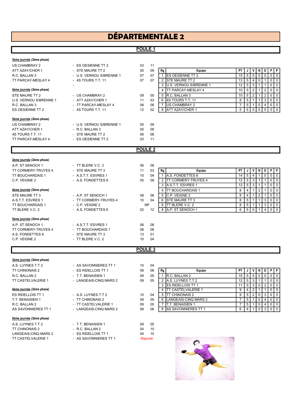## DÉPARTEMENTALE 2

## POULE<sub>1</sub>

|  | <u>3ème journée (2ème phase)</u> |
|--|----------------------------------|
|--|----------------------------------|

US CHAMBRAY 2 - ES OFSIENNE TT 2 03 11

| STE MAURE TT 2          |
|-------------------------|
| U.S. VERNOU S/BRENNE    |
| R.C. BALLAN 3           |
| <b>ES OESIENNE TT 2</b> |

#### 5ème journée (2ème phase)

US CHAMBRAY 2 - U.S. VERNOU S/BRENNE 1 05 09 4S TOURS T.T. 11 - STE MAURE TT 2 06 08<br>TT PARCAY-MESLAY 4 - ES OESIENNE TT 2 03 11 TT PARCAY-MESLAY 4

3ème journée (2ème phase)

ATT AZAY/CHER 1 - R.C. BALLAN 3 05 09

ATT AZAY/CHER 1 - STE MAURE TT 2 05 09 Rg | Equipe PT | J | V | N | D | P | F R.C. BALLAN 3 - U.S. VERNOU S/BRENNE 1 07 07 1 ES OESIENNE TT 2 15 5 5 0 0 0 0  $\overline{07}$   $\overline{07}$   $\overline{2}$  STE MAURE TT 2 13 5 4 0 1 1 0 1 0 - 3 U.S. VERNOU S/BRENNE 1 12 5 3 1 1 0 0<br>4 TT PARCAY-MESLAY 4 10 5 2 1 2 0 0 4ème journée (2ème phase) 4 TT PARCAY-MESLAY 4 10 5 2 1 2 0 0 - US CHAMBRAY 2 09 05 5 R.C. BALLAN 3 10 5 2 1<br>- ATT AZAY/CHER 1 1 03 6 4S TOURS T.T. 11 2 2 1 1 - ATT AZAY/CHER 1 11 03 6 4S TOURS T.T. 11 8 5 1 1 3 0 0 - TT PARCAY-MESLAY 4 08 06 7 US CHAMBRAY 2 7 5 1 0 4 0 0<br>- 4S TOURS T.T. 11 12 02 8 ATT AZAY/CHER 1 5 5 0 0 5 0 0 12 02 8 ATT AZAY/CHER 1 5 5 0 0 5 0 0

## POULE 2

| - TT BLERE V.C. 2     | 06              | 08 |           |        |                                                                                                                                                                                                    |   |                                                 |                                                                    |   |           |
|-----------------------|-----------------|----|-----------|--------|----------------------------------------------------------------------------------------------------------------------------------------------------------------------------------------------------|---|-------------------------------------------------|--------------------------------------------------------------------|---|-----------|
| - STE MAURE TT 3      | 11              | 03 |           | Equipe |                                                                                                                                                                                                    |   |                                                 |                                                                    | D | PFI       |
| - A.S.T.T. ESVRES 1   | 10              | 04 |           |        |                                                                                                                                                                                                    |   | 4                                               |                                                                    | 0 | $0$   $0$ |
| - A.S. FONDETTES 6    | 05              | 09 |           |        |                                                                                                                                                                                                    |   | 3                                               |                                                                    |   | $0$   $0$ |
|                       |                 |    |           |        |                                                                                                                                                                                                    |   | 3                                               |                                                                    |   | $0$   $0$ |
|                       |                 |    |           |        |                                                                                                                                                                                                    |   |                                                 | 2                                                                  |   | 0 1 0 1   |
| - A.P. ST SENOCH 1    | 08              | 06 |           |        |                                                                                                                                                                                                    |   |                                                 |                                                                    |   | $0$   $0$ |
| - TT CORMERY-TRUYES 4 | 10 <sup>1</sup> | 04 |           |        |                                                                                                                                                                                                    |   |                                                 |                                                                    | 3 | $0$   $0$ |
| $-$ C.P. VEIGNE 2     |                 |    |           |        |                                                                                                                                                                                                    |   |                                                 |                                                                    | 3 | $0$   $0$ |
| - A.S. FONDETTES 6    | 02              | 12 |           |        |                                                                                                                                                                                                    |   |                                                 |                                                                    | 4 | $0$   $0$ |
|                       |                 |    |           |        |                                                                                                                                                                                                    |   |                                                 |                                                                    |   |           |
| - A.S.T.T. ESVRES 1   | 06              | 08 |           |        |                                                                                                                                                                                                    |   |                                                 |                                                                    |   |           |
| - TT BOUCHARDAIS 1    | 08              | 06 |           |        |                                                                                                                                                                                                    |   |                                                 |                                                                    |   |           |
| - STE MAURE TT 3      | 13              | 01 |           |        |                                                                                                                                                                                                    |   |                                                 |                                                                    |   |           |
| - TT BLERE V.C. 2     | 10              | 04 |           |        |                                                                                                                                                                                                    |   |                                                 |                                                                    |   |           |
|                       |                 |    | <b>NP</b> |        | Rg<br>IA.S. FONDETTES 6<br><b>ITT CORMERY-TRUYES 4</b><br>3 A.S.T.T. ESVRES 1<br><b>ITT BOUCHARDAIS 1</b><br>5 C.P. VEIGNE 2<br><b>ISTE MAURE TT 3</b><br>6 ITT BLERE V.C. 2<br>8 A.P. ST SENOCH 1 | 8 | <b>PT</b><br>14<br>12<br>12<br>8<br>8<br>8<br>6 | 5 <sup>1</sup><br>5 <sup>1</sup><br>5 I<br>4<br>4<br>5<br>5<br>5 0 |   |           |

## POULE 3

Reporté

3ème journée (2ème phase) A.S. LUYNES T.T 2 - AS SAVONNIERES TT 1 10 04 TT CHINONAIS 2 - ES RIDELLOIS TT 1 08 0 R.C. BALLAN 2 - T.T. BENAISIEN 1 09 05 1 R.C. BALLAN 2 15 5 5 0 0 0 0 - LANGEAIS-CINQ MARS 2 09 0 4ème journée (2ème phase) ES RIDELLOIS TT 1 - A.S. LUYNES T.T 2 10 04<br>
T.T. BENAISIEN 1 - TT CHINONAIS 2 09 04 T.T. BENAISIEN 1 - TT CHINONAIS 2 09 05<br>R C BAI I AN 2 - TT CASTEI VAI ERIE 1 09 05 - TT CASTELVALERIE 1 09 05 AS SAVONNIERES TT 1 - LANGEAIS-CINQ MARS 2 08 06 5ème journée (2ème phase) A.S. LUYNES T.T 2 - T.T. BENAISIEN 1 09 05

TT CHINONAIS 2 <sup>-</sup> R.C. BALLAN 2 04 10<br>
LANGEAIS-CINQ MARS 2 - ES RIDELLOIS TT 1 04 10 LANGEAIS-CINQ MARS 2 - ES RIDELLOIS TT 1 04 10

TT CASTELVALERIE 1 - AS SAVONNIERES TT 1

| U₩ |    |                          |    |   |   |   |   |   |   |
|----|----|--------------------------|----|---|---|---|---|---|---|
| 06 | Rg | Equipe                   | PT |   |   | N |   | Ρ | F |
| 05 |    | R.C. BALLAN 2            | 15 | 5 | 5 |   |   |   | 0 |
| 05 | 2  | A.S. LUYNES T.T 2        | 12 | 5 | 3 |   |   |   | 0 |
|    | 3  | <b>ES RIDELLOIS TT 1</b> | 11 | 5 | 3 | 0 | 2 |   | 0 |
|    |    | TT CASTELVALERIE 1       | 9  |   |   |   |   |   | 0 |
| 04 | 5  | <b>TT CHINONAIS 2</b>    | 9  | 5 |   |   | 3 |   |   |
| 05 | 6  | LANGEAIS-CINQ MARS 2     |    | 5 |   |   |   |   | 0 |
| 05 |    | T.T. BENAISIEN 1         |    | 5 |   |   | 4 |   | 0 |
| 06 | 8  | AS SAVONNIERES TT 1      | 6  |   |   |   | 3 |   | 0 |

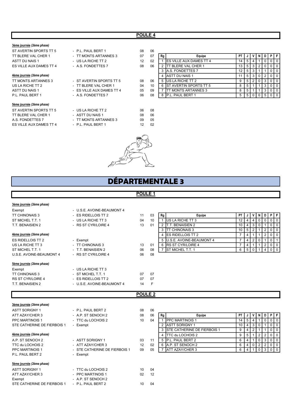## POULE 4

#### 3ème journée (2ème phase)

ST AVERTIN SPORTS TT 5 - P.L. PAUL BERT 1 08 06 TT BLERE VAL CHER 1 - TT MONTS ARTANNES 3 07 ASTT DU NAIS 1 <sup>-</sup> US LA RICHE TT 2 12<br>
ES VILLE AUX DAMES TT 4 - A.S. FONDETTES 7 08 ES VILLE AUX DAMES TT 4

#### 4ème journée (2ème phase)

#### 5ème journée (2ème phase)

| ST AVERTIN SPORTS TT 5  |  |
|-------------------------|--|
| TT BLERE VAL CHER 1     |  |
| A.S. FONDETTES 7        |  |
| ES VILLE AUX DAMES TT 4 |  |

| 4ème journée <i>(2ème phase)</i> |                           |    |    |
|----------------------------------|---------------------------|----|----|
| TT MONTS ARTANNES 3              | - ST AVERTIN SPORTS TT 5  | 08 | 06 |
| US LA RICHE TT 2                 | - TT BLERE VAL CHER 1     | 04 | 10 |
| ASTT DU NAIS 1                   | - ES VILLE AUX DAMES TT 4 | 05 | 09 |
| P.L. PAUL BERT 1                 | - A.S. FONDETTES 7        | 06 | 08 |
| 5ème journée <i>(2ème phase)</i> |                           |    |    |
| ST AVERTIN SPORTS TT 5           | - US LA RICHE TT 2        | 06 | 08 |
| TT BLERE VAL CHER 1              | - ASTT DU NAIS 1          | 08 | 06 |
| A.S. FONDETTES 7                 | - TT MONTS ARTANNES 3     | 09 | 05 |
| ES VILLE AUX DAMES TT 4          | - P.L. PAUL BERT 1        | 12 | 02 |

| ט ו היט וט אווואדארוט            |                           | vv | - vv |    |                                 |    |   |      |  |           |  |
|----------------------------------|---------------------------|----|------|----|---------------------------------|----|---|------|--|-----------|--|
| TT BLERE VAL CHER 1              | - TT MONTS ARTANNES 3     | 07 | 07   | Rg | Equipe                          | ΡT |   |      |  | PFI       |  |
| ASTT DU NAIS 1                   | - US LA RICHE TT 2        | 12 | 02   |    | <b>IES VILLE AUX DAMES TT 4</b> |    | 5 |      |  | 0 1 0 1   |  |
| ES VILLE AUX DAMES TT 4          | - A.S. FONDETTES 7        | 08 | 06   |    | <b>ITT BLERE VAL CHER 1</b>     |    |   |      |  | 0 1 0 1   |  |
|                                  |                           |    |      |    | <b>IA.S. FONDETTES 7</b>        |    |   | 513  |  | 0101      |  |
| 4ème journée <i>(2ème phase)</i> |                           |    |      |    | 4 ASTT DU NAIS 1                |    |   |      |  | 0101      |  |
| TT MONTS ARTANNES 3              | - ST AVERTIN SPORTS TT 5  | 08 | 06   |    | IUS LA RICHE TT 2               |    |   |      |  | $0$   $0$ |  |
| US LA RICHE TT 2                 | - TT BLERE VAL CHER 1     | 04 | 10   |    | <b>IST AVERTIN SPORTS TT 5</b>  |    |   |      |  | 0   0     |  |
| ASTT DU NAIS 1                   | - ES VILLE AUX DAMES TT 4 | 05 | 09   |    | <b>ITT MONTS ARTANNES 3</b>     |    |   |      |  | 0 1 0 1   |  |
| PI PAUL RERT 1                   | - A S FONDETTES 7         | በፍ | 08   |    | PAUL RERT 1<br>IP I             |    |   | 5101 |  |           |  |



## DÉPARTEMENTALE 3

## POULE<sub>1</sub>

## 3ème journée (2ème phase)

Exempt

| Exempt                    | - U.S.E. AVOINE-BEAUMONT 4 |    |    |
|---------------------------|----------------------------|----|----|
| <b>TT CHINONAIS 3</b>     | - ES RIDELLOIS TT 2        | 11 | 03 |
| ST MICHEL T.T. 1          | - US LA RICHE TT 3         | 04 | 10 |
| T.T. BENAISIEN 2          | - RS ST CYR/LOIRE 4        | 13 | 01 |
| 4ème journée (2ème phase) |                            |    |    |
| ES RIDELLOIS TT 2         | - Exempt                   |    |    |
| US LA RICHE TT 3          | - TT CHINONAIS 3           | 13 | 01 |
| ST MICHEL T.T. 1          | - T.T. BENAISIEN 2         | 06 | 08 |
| U.S.E. AVOINE-BEAUMONT 4  | - RS ST CYR/LOIRE 4        | 06 | 08 |
| 5ème journée (2ème phase) |                            |    |    |
| Exempt                    | - US LA RICHE TT 3         |    |    |
| <b>TT CHINONAIS 3</b>     | - ST MICHEL T.T. 1         | 07 | 07 |
| <b>RS ST CYR/LOIRE 4</b>  | - ES RIDELLOIS TT 2        | 07 | 07 |
| T.T. BENAISIEN 2          | - U.S.E. AVOINE-BEAUMONT 4 | 14 | F  |

| –∧∪…⊳                            | 0.0.1.1170.112 DL/10.110.11 |       |    |     |                             |    |   |   |  |     |         |
|----------------------------------|-----------------------------|-------|----|-----|-----------------------------|----|---|---|--|-----|---------|
| TT CHINONAIS 3                   | - ES RIDELLOIS TT 2         | 11    | 03 | Rg, | Equipe                      | РT |   |   |  | PFI |         |
| ST MICHEL T.T. 1                 | - US LA RICHE TT 3          | 04    | 10 |     | <b>IUS LA RICHE TT 3</b>    |    |   | 4 |  |     | 0101    |
| T.T. BENAISIEN 2                 | - RS ST CYR/LOIRE 4         | 13    | 01 |     | T. BENAISIEN 2              |    |   |   |  |     | 0 1 0 1 |
|                                  |                             |       |    |     | <b>ITT CHINONAIS 3</b>      | 10 |   |   |  |     | 0101    |
| 4ème journée <i>(2ème phase)</i> |                             |       |    |     | 4 <b>IES RIDELLOIS TT 2</b> |    |   |   |  |     | 0   0   |
| ES RIDELLOIS TT 2                | - Exempt                    |       |    |     | 5 JU.S.E. AVOINE-BEAUMONT 4 |    |   |   |  |     |         |
| US LA RICHE TT 3                 | - TT CHINONAIS 3            | 13    | 01 |     | 6 IRS ST CYR/LOIRE 4        |    | 4 |   |  |     | J 0'    |
| ST MICHEL T.T. 1                 | - T.T. BENAISIEN 2          | 06    | 08 |     | <b>IST MICHEL T.T. 1</b>    |    |   |   |  |     |         |
|                                  | -- -- -- -- - --- -         | - - - |    |     |                             |    |   |   |  |     |         |

### POULE 2

| 3ème journée (2ème phase)   |                               |    |    |                |                                |                 |   |   |                |                |                |                |
|-----------------------------|-------------------------------|----|----|----------------|--------------------------------|-----------------|---|---|----------------|----------------|----------------|----------------|
| <b>ASTT SORIGNY 1</b>       | - P.L. PAUL BERT 2            | 08 | 06 |                |                                |                 |   |   |                |                |                |                |
| ATT AZAY/CHER 3             | - A.P. ST SENOCH 2            | 08 | 06 | Rg             | Equipe                         | <b>PT</b>       |   | v | N              | D              | PF             |                |
| <b>PPC MARTINOIS 1</b>      | - TTC du LOCHOIS 2            | 10 | 04 |                | <b>IPPC MARTINOIS 1</b>        | 14              | 5 |   |                |                | $\overline{0}$ | $\overline{0}$ |
| STE CATHERINE DE FIERBOIS 1 | - Exempt                      |    |    |                | 2 ASTT SORIGNY 1               | 10 <sup>1</sup> | 4 | 3 |                |                | $0$   0        |                |
|                             |                               |    |    |                | 3 ISTE CATHERINE DE FIERBOIS 1 | 9               |   |   |                |                | $0$   0        |                |
| 4ème journée (2ème phase)   |                               |    |    | 4 <sup>1</sup> | ITTC du LOCHOIS 2              | 9               | 5 |   | 2 <sup>1</sup> | 2 <sup>1</sup> | $0$   $0$      |                |
| A.P. ST SENOCH 2            | - ASTT SORIGNY 1              | 03 | 11 |                | 5 IP.L. PAUL BERT 2            | 6               | 4 |   | 0 <sup>1</sup> |                | 3 0 0          |                |
| TTC du LOCHOIS 2            | - ATT AZAY/CHER 3             | 12 | 02 |                | 6 A.P. ST SENOCH 2             | 6               | 4 | 0 | 2              | $\overline{2}$ | $0$   0        |                |
| <b>PPC MARTINOIS 1</b>      | - STE CATHERINE DE FIERBOIS 1 | 09 | 05 |                | <b>ATT AZAY/CHER 3</b>         | 6               | 4 |   |                | 3              | $0$ 0          |                |
| P.L. PAUL BERT 2            | - Exempt                      |    |    |                |                                |                 |   |   |                |                |                |                |
|                             |                               |    |    |                |                                |                 |   |   |                |                |                |                |
| 5ème journée (2ème phase)   |                               |    |    |                |                                |                 |   |   |                |                |                |                |
| <b>ASTT SORIGNY 1</b>       | - TTC du LOCHOIS 2            | 10 | 04 |                |                                |                 |   |   |                |                |                |                |
| ATT AZAY/CHER 3             | - PPC MARTINOIS 1             | 02 | 12 |                |                                |                 |   |   |                |                |                |                |
| Exempt                      | - A.P. ST SENOCH 2            |    |    |                |                                |                 |   |   |                |                |                |                |
| STE CATHERINE DE FIERBOIS 1 | - P.L. PAUL BERT 2            | 10 | 04 |                |                                |                 |   |   |                |                |                |                |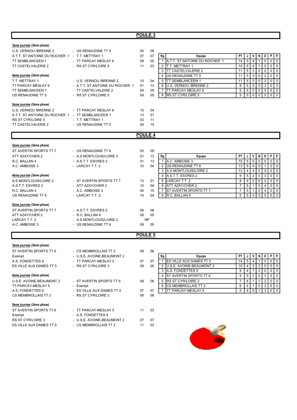| 3ème journée (2ème phase)                        |                                             |                    |          |                                                                        |                 |                                  |                                |                 |                     |              |
|--------------------------------------------------|---------------------------------------------|--------------------|----------|------------------------------------------------------------------------|-----------------|----------------------------------|--------------------------------|-----------------|---------------------|--------------|
| U.S. VERNOU / BRENNE 2                           | - US RENAUDINE TT 5                         | 05                 | 09       |                                                                        |                 |                                  |                                |                 |                     |              |
| A.T.T. ST ANTOINE DU ROCHER 1 - T.T. METTRAY 1   |                                             | 07                 | 07       | Rg<br>Equipe                                                           | PT              | J                                | v<br>N                         | D               | $\ddot{\mathsf{P}}$ | F            |
| <b>TT SEMBLANCEEN 1</b>                          | - TT PARCAY MESLAY 6                        | 09                 | 05       | A.T.T. ST ANTOINE DU ROCHER 1<br>$\mathbf{1}$                          | 14              | $\overline{5}$<br>$\overline{4}$ |                                | $\mathbf 0$     | $\mathbf 0$         | $\mathbf 0$  |
| TT CASTELVALERIE 2                               | - RS ST CYR/LOIRE 5                         | 11                 | 03       | T.T. METTRAY 1<br>2                                                    | 14              | 5 <sup>1</sup>                   | 4<br>$\mathbf{1}$              | $\pmb{0}$       | 0                   | $\mathbf 0$  |
|                                                  |                                             |                    |          | <b>TT CASTELVALERIE 2</b><br>3                                         | 11              | 5 <sup>1</sup>                   | 3<br>$\mathbf 0$               | $\overline{2}$  | 0                   | $\mathbf 0$  |
| 4ème journée (2ème phase)                        |                                             |                    |          | 4<br>US RENAUDINE TT 5                                                 | 11              | 5                                | 3<br>$\mathbf 0$               | $\overline{2}$  | $\mathbf 0$         | $\mathbf 0$  |
| T.T. METTRAY 1                                   | - U.S. VERNOU /BRENNE 2                     | 10                 | 04       | <b>TT SEMBLANCEEN 1</b><br>5                                           | 11              | 5 <sup>1</sup>                   | 3<br>$\pmb{0}$                 | $\overline{2}$  | $\mathbf 0$         | $\mathbf 0$  |
| TT PARCAY MESLAY 6                               | - A.T.T. ST ANTOINE DU ROCHER 1             | 01                 | 13       | U.S. VERNOU / BRENNE 2<br>6                                            | 9               | 5 <sup>1</sup>                   | $\overline{2}$<br>0            | 3               | 0                   | $\mathbf 0$  |
| <b>TT SEMBLANCEEN 1</b>                          | - TT CASTELVALERIE 2                        | 09                 | 05       | <b>TT PARCAY MESLAY 6</b><br>7                                         | 5               | 5 <sub>1</sub>                   | $\mathbf 0$<br>$\mathbf 0$     | $\sqrt{5}$      | $\mathbf 0$         | $\mathbf 0$  |
| US RENAUDINE TT 5                                | - RS ST CYR/LOIRE 5                         | 09                 | 05       | RS ST CYR/LOIRE 5<br>8                                                 | 5               | $5\vert$<br>$\mathbf 0$          | $\mathbf 0$                    | $5\phantom{.0}$ | $\mathbf 0$         | 0            |
| Sème journée (2ème phase)                        |                                             |                    |          |                                                                        |                 |                                  |                                |                 |                     |              |
| U.S. VERNOU / BRENNE 2                           | - TT PARCAY MESLAY 6                        | 10                 | 04       |                                                                        |                 |                                  |                                |                 |                     |              |
| A.T.T. ST ANTOINE DU ROCHER 1 - TT SEMBLANCEEN 1 |                                             | 13                 | 01       |                                                                        |                 |                                  |                                |                 |                     |              |
| <b>RS ST CYR/LOIRE 5</b>                         | - T.T. METTRAY 1                            | 03                 | 11       |                                                                        |                 |                                  |                                |                 |                     |              |
| TT CASTELVALERIE 2                               | - US RENAUDINE TT 5                         | 04                 | 10       |                                                                        |                 |                                  |                                |                 |                     |              |
|                                                  |                                             | <b>POULE 4</b>     |          |                                                                        |                 |                                  |                                |                 |                     |              |
| 3ème journée (2ème phase)                        |                                             |                    |          |                                                                        |                 |                                  |                                |                 |                     |              |
| ST AVERTIN SPORTS TT 7                           | - US RENAUDINE TT 6                         | 05                 | 09       |                                                                        |                 |                                  |                                |                 |                     |              |
| ATT AZAY/CHER 2                                  | - A.S MONTLOUIS/LOIRE 2                     | 01                 | 13       | Rg<br>Equipe                                                           | PT              | J                                | V<br>N                         | D               | P                   | F            |
| R.C. BALLAN 4                                    | - A.S.T.T. ESVRES 2                         | 01                 | 13       | A.C. AMBOISE 3<br>$\mathbf{1}$                                         | 15              | 5                                | 5<br>$\mathbf 0$               | $\mathsf 0$     | $\mathbf 0$         | $\mathbf 0$  |
| A.C. AMBOISE 3                                   | - LARCAY T.T. 2                             | 10                 | 04       | US RENAUDINE TT 6<br>2                                                 | 13              | $\overline{5}$                   | $\mathbf 0$<br>4               | $\mathbf{1}$    | $\mathbf 0$         | $\mathbf 0$  |
|                                                  |                                             |                    |          | A.S MONTLOUIS/LOIRE 2<br>3                                             | 12              | 4                                | 4<br>$\pmb{0}$                 | 0               | $\mathbf 0$         | $\mathbf 0$  |
| 4ème journée (2ème phase)                        |                                             |                    |          | A.S.T.T. ESVRES 2<br>4                                                 | 9               | $5\overline{)}$                  | $\sqrt{2}$<br>$\mathbf 0$      | 3               | $\mathbf 0$         | $\mathbf 0$  |
| A.S MONTLOUIS/LOIRE 2                            | - ST AVERTIN SPORTS TT 7                    | 13                 | 01       | LARCAY T.T. 2<br>5                                                     | 8               | $\overline{4}$                   | $\overline{2}$<br>0            | $\overline{2}$  | $\mathbf 0$         | $\mathbf 0$  |
| A.S.T.T. ESVRES 2                                | - ATT AZAY/CHER 2                           | 10                 | 04       | <b>ATT AZAY/CHER 2</b><br>6                                            | $\overline{7}$  | 5<br>$\mathbf{1}$                | $\pmb{0}$                      | $\overline{4}$  | $\mathbf 0$         | $\mathbf{0}$ |
| R.C. BALLAN 4                                    | - A.C. AMBOISE 3                            | 04                 | 10       | ST AVERTIN SPORTS TT 7<br>7                                            | $\overline{7}$  | 5 <sup>1</sup>                   | $\mathbf 0$<br>$\mathbf{1}$    | 4               | 0                   | 0            |
| US RENAUDINE TT 6                                | - LARCAY T.T. 2                             | 10                 | 04       | R.C. BALLAN 4<br>8                                                     | 5               | 5                                | 0<br>$\mathbf 0$               | 5               | $\mathbf 0$         | $\Omega$     |
| 5ème journée (2ème phase)                        |                                             |                    |          |                                                                        |                 |                                  |                                |                 |                     |              |
| ST AVERTIN SPORTS TT 7                           | - A.S.T.T. ESVRES 2                         | 08                 | 06       |                                                                        |                 |                                  |                                |                 |                     |              |
| ATT AZAY/CHER 2                                  | - R.C. BALLAN 4                             | 09                 | 05       |                                                                        |                 |                                  |                                |                 |                     |              |
| LARCAY T.T. 2                                    | - A.S MONTLOUIS/LOIRE 2                     | <b>NP</b>          |          |                                                                        |                 |                                  |                                |                 |                     |              |
| A.C. AMBOISE 3                                   | - US RENAUDINE TT 6                         | 09                 | 05       |                                                                        |                 |                                  |                                |                 |                     |              |
|                                                  |                                             | POULE <sub>5</sub> |          |                                                                        |                 |                                  |                                |                 |                     |              |
| 3ème journée (2ème phase)                        |                                             |                    |          |                                                                        |                 |                                  |                                |                 |                     |              |
| ST AVERTIN SPORTS TT 6                           | - CS MEMBROLLAIS TT 2                       | 08                 | 06       |                                                                        |                 |                                  |                                |                 |                     |              |
|                                                  | - U.S.E. AVOINE-BEAUMONT 2                  |                    |          |                                                                        | ΡT              | J                                | N<br>V                         | D               | P                   | F            |
| Exempt                                           |                                             |                    |          | ${\sf Rg}$<br>Equipe<br><b>ES VILLE AUX DAMES TT 5</b><br>$\mathbf{1}$ | 14              | 5                                | $\overline{4}$                 | $\mathbf 0$     | $\mathbf 0$         | $\mathbf 0$  |
| A.S. FONDETTES 9                                 | - TT PARCAY-MESLAY 5<br>- RS ST CYR/LOIRE 3 | 07<br>09           | 07<br>05 | 2   U.S.E. AVOINE-BEAUMONT 2                                           | 10 <sup>°</sup> | $4 \mid 2 \mid$                  | $\mathbf{1}$<br>2              | $\overline{0}$  | l o l               | $\mathbf 0$  |
| ES VILLE AUX DAMES TT 5                          |                                             |                    |          | 3 A.S. FONDETTES 9                                                     | 9               | 4                                | $\overline{3}$<br>$\mathbf{1}$ | $\mathbf 0$     | $\overline{0}$      | $\mathbf 0$  |
| 4ème journée (2ème phase)                        |                                             |                    |          | <b>ST AVERTIN SPORTS TT 6</b><br>4                                     | 9               | 5 <sup>1</sup>                   | $\mathbf 0$<br>2               | $\mathbf{3}$    | $\Omega$            | $\mathbf 0$  |
| U.S.E. AVOINE-BEAUMONT 2                         | - ST AVERTIN SPORTS TT 6                    | 08                 | 06       | RS ST CYR/LOIRE 3<br>5                                                 | 7               | 4                                | $\mathbf{1}$<br>$\mathbf{1}$   | $\overline{2}$  | l 0                 | 0            |
| TT PARCAY-MESLAY 5                               | - Exempt                                    |                    |          | <b>CS MEMBROLLAIS TT 2</b><br>6                                        | 6               | 4                                | $\mathbf{1}$<br>0              | $\mathbf{3}$    | $\overline{0}$      | $\mathbf 0$  |
| A.S. FONDETTES 9                                 | - ES VILLE AUX DAMES TT 5                   | 07                 | 07       | TT PARCAY-MESLAY 5<br>$\overline{7}$                                   | 5               | 4                                | $\overline{0}$<br>$\mathbf{1}$ | $\mathbf{3}$    | $\overline{0}$      | $\mathbf 0$  |
| CS MEMBROLLAIS TT 2                              | - RS ST CYR/LOIRE 3                         | 08                 | 06       |                                                                        |                 |                                  |                                |                 |                     |              |
| 5ème journée (2ème phase)                        |                                             |                    |          |                                                                        |                 |                                  |                                |                 |                     |              |
| ST AVERTIN SPORTS TT 6                           | - TT PARCAY-MESLAY 5                        | 11                 | 03       |                                                                        |                 |                                  |                                |                 |                     |              |
| Exempt                                           | - A.S. FONDETTES 9                          |                    |          |                                                                        |                 |                                  |                                |                 |                     |              |
| RS ST CYR/LOIRE 3                                | - U.S.E. AVOINE-BEAUMONT 2                  | 07                 | 07       |                                                                        |                 |                                  |                                |                 |                     |              |
| ES VILLE AUX DAMES TT 5                          | - CS MEMBROLLAIS TT 2                       | 11                 | 03       |                                                                        |                 |                                  |                                |                 |                     |              |

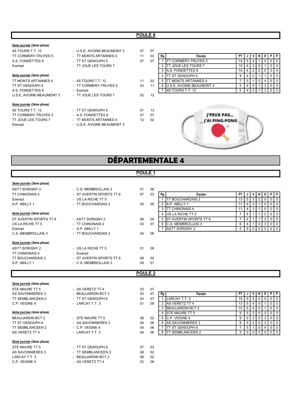| 3ème journée (2ème phase)  |                            |    |    |                                       |                 |                |                |                |              |                |                |
|----------------------------|----------------------------|----|----|---------------------------------------|-----------------|----------------|----------------|----------------|--------------|----------------|----------------|
| 4S TOURS T.T. 12           | - U.S.E. AVOINE-BEAUMONT 3 | 07 | 07 |                                       |                 |                |                |                |              |                |                |
| TT CORMERY-TRUYES 5        | - TT MONTS ARTANNES 4      | 11 | 03 | Equipe<br>Rg                          | PT I            |                |                |                | D            |                | PF             |
| A.S. FONDETTES 8           | - TT ST GENOUPH 5          | 07 | 07 | CORMERY-TRUYES 5                      | 14              | <sup>5</sup>   | 4              |                | $\mathbf{0}$ |                | 0 <sup>1</sup> |
| Exempt                     | - TT JOUE LES TOURS 7      |    |    | <b>T JOUE LES TOURS 7</b>             | 10 <sub>1</sub> |                | 4 3            | 0              |              | $\overline{0}$ | 0              |
|                            |                            |    |    | <b>JA.S. FONDETTES 8</b><br>3         | 10              | 4 <sup>1</sup> | 2              | 2 <sub>1</sub> | 0            |                | $0$   0        |
| 4ème journée (2ème phase)  |                            |    |    | <b>ITT ST GENOUPH 5</b>               | 9               | 4 I            | $\overline{2}$ |                |              | $\overline{0}$ | $\overline{0}$ |
| TT MONTS ARTANNES 4        | $-4S$ TOURS T.T. 12        | 11 | 03 | T MONTS ARTANNES 4                    |                 | 5 <sup>5</sup> |                | 0 <sup>1</sup> |              |                | $0$   0        |
| TT ST GENOUPH 5            | - TT CORMERY-TRUYES 5      | 03 | 11 | <b>IU.S.E. AVOINE-BEAUMONT 3</b><br>6 | 5               |                | 4 0            |                | 3            |                | $0$   $0$      |
| A.S. FONDETTES 8           | - Exempt                   |    |    | <b>I4S TOURS T.T. 12</b>              | 5               | $\overline{4}$ |                |                | 3            |                | $0$   0        |
| U.S.E. AVOINE-BEAUMONT 3   | - TT JOUE LES TOURS 7      | 02 | 12 |                                       |                 |                |                |                |              |                |                |
| 5ème journée (2ème phase)  |                            |    |    |                                       |                 |                |                |                |              |                |                |
| 4S TOURS T.T. 12           | - TT ST GENOUPH 5          | 01 | 13 |                                       |                 |                |                |                |              |                |                |
| <b>TT CORMERY-TRUYES 5</b> | - A.S. FONDETTES 8         | 07 | 07 | J'PEUX PAS                            |                 |                |                |                |              |                |                |
| TT JOUE LES TOURS 7        | - TT MONTS ARTANNES 4      | 12 | 02 | I'AI PING-PONG                        |                 |                |                |                |              |                |                |
| Exempt                     | - U.S.E. AVOINE-BEAUMONT 3 |    |    |                                       |                 |                |                |                |              |                |                |

## DÉPARTEMENTALE 4

## POULE<sub>1</sub>

| 3ème journée (2ème phase) |                          |    |    |    |                          |    |                |             |             |                |           |
|---------------------------|--------------------------|----|----|----|--------------------------|----|----------------|-------------|-------------|----------------|-----------|
| <b>ASTT SORIGNY 2</b>     | - C.S. MEMBROLLAIS 3     | 01 | 09 |    |                          |    |                |             |             |                |           |
| <b>TT CHINONAIS 4</b>     | - ST AVERTIN SPORTS TT 8 | 07 | 03 | Rg | Equipe                   | PT |                | v           | N           | D I            | PF        |
| Exempt                    | - US LA RICHE TT 5       |    |    |    | <b>ITT BOUCHARDAIS 2</b> | 13 | 5 <sup>1</sup> | 3           | 2           | $\overline{0}$ | $0$   $0$ |
| A.P. ABILLY 1             | - TT BOUCHARDAIS 2       | 05 | 05 |    | 2 A.P. ABILLY 1          | 11 | 4              | 3           |             | $\overline{0}$ | $0$   0   |
|                           |                          |    |    |    | 3 ITT CHINONAIS 4        | 11 | 4              | 3           |             | $\mathbf{0}$   | $0$   0   |
| 4ème journée (2ème phase) |                          |    |    |    | 4 US LA RICHE TT 5       |    | 4              |             |             | 2              | $0$   $0$ |
| ST AVERTIN SPORTS TT 8    | - ASTT SORIGNY 2         | 06 | 04 |    | 5 ST AVERTIN SPORTS TT 8 |    | 4              |             |             | 2              | $0$   0   |
| US LA RICHE TT 5          | - TT CHINONAIS 4         | 03 | 07 |    | 6 C.S. MEMBROLLAIS 3     | 6  | 4              | -1          | 0           | 3 <sup>1</sup> | $0$   0   |
| Exempt                    | - A.P. ABILLY 1          |    |    |    | ASTT SORIGNY 2           | 5  | 5 <sup>1</sup> | $\mathbf 0$ | $\mathbf 0$ | 5 <sub>1</sub> |           |
| C.S. MEMBROLLAIS 3        | - TT BOUCHARDAIS 2       | 04 | 06 |    |                          |    |                |             |             |                |           |
| 5ème journée (2ème phase) |                          |    |    |    |                          |    |                |             |             |                |           |
| <b>ASTT SORIGNY 2</b>     | - US LA RICHE TT 5       | 01 | 09 |    |                          |    |                |             |             |                |           |
| <b>TT CHINONAIS 4</b>     | - Exempt                 |    |    |    |                          |    |                |             |             |                |           |
| <b>TT BOUCHARDAIS 2</b>   | - ST AVERTIN SPORTS TT 8 | 08 | 02 |    |                          |    |                |             |             |                |           |
| A.P. ABILLY 1             | - C.S. MEMBROLLAIS 3     | 09 | 01 |    |                          |    |                |             |             |                |           |
|                           |                          |    |    |    |                          |    |                |             |             |                |           |

|   | Rg | Equipe                        | P1 |   |   |   |   | F |
|---|----|-------------------------------|----|---|---|---|---|---|
|   |    | <b>ITT BOUCHARDAIS 2</b>      | 13 | 5 | 3 |   | U | O |
| 5 | っ  | A.P. ABILLY 1                 |    |   | 3 |   |   | 0 |
|   |    | <b>TT CHINONAIS 4</b>         |    |   |   |   |   | 0 |
|   |    | <b>IUS LA RICHE TT 5</b>      |    |   |   |   |   | O |
|   | 5  | <b>ST AVERTIN SPORTS TT 8</b> |    |   |   |   |   | 0 |
|   | 6  | C.S. MEMBROLLAIS 3            | 6  |   |   | Ο | 3 | 0 |
|   |    | <b>ASTT SORIGNY 2</b>         |    |   |   |   |   |   |

## POULE<sub>2</sub>

## 3ème journée (2ème phase) STE MAURE TT 5 AS SAVONNIERES 3<br>
TT OF UDLAHOEF J O

| <b>TT SEMBLANCEEN 2</b> |
|-------------------------|
| C.P. VEIGNE 4           |
|                         |

## 4ème journée (2ème phase)

## 5ème journée (2ème phase)

STE MAURE TT 5 AS SAVONNIERES 3 LARCAY T.T. 3 C.P. VEIGNE 4

| - AS VERETZ TT 4        | 03 | 07 |  |
|-------------------------|----|----|--|
| <b>BEAUJARDIN BCT 2</b> | 03 | 07 |  |
| - TT ST GENOUPH 6       | 03 | 07 |  |
| - LARCAY T.T. 3         | 01 | 09 |  |
|                         |    |    |  |
|                         |    |    |  |
| - STE MAURE TT 5        | 08 | 02 |  |
| - AS SAVONNIERES 3      | 04 | 06 |  |
| $-$ C.P. VEIGNE 4       | 04 | 06 |  |
| - LARCAY T.T. 3         | 04 | 06 |  |
|                         |    |    |  |
|                         |    |    |  |
| - TT ST GENOUPH 6       | 07 | 03 |  |
| - TT SEMBLANCEEN 2      | 08 | 02 |  |
| <b>BEAUJARDIN BCT 2</b> | 08 | 02 |  |
| - AS VERETZ TT 4        | 02 | 08 |  |
|                         |    |    |  |

| STE MAURE TT 5                   | - AS VERETZ TT 4   | 03<br>07 |    |    |                          |      |              |     |  |         |
|----------------------------------|--------------------|----------|----|----|--------------------------|------|--------------|-----|--|---------|
| AS SAVONNIERES 3                 | - BEAUJARDIN BCT 2 | 03<br>07 |    | Rg | Equipe                   | PT I |              |     |  | PIFI    |
| TT SEMBLANCEEN 2                 | - TT ST GENOUPH 6  | 03<br>07 |    |    | <b>ILARCAY T.T.3</b>     | 15   | 51           | 5   |  | 0 1 0 1 |
| C.P. VEIGNE 4                    | - LARCAY T.T. 3    | 01<br>09 |    |    | <b>IAS VERETZ TT 4</b>   | 13   | <sub>5</sub> |     |  | 0 1 0 1 |
|                                  |                    |          |    |    | <b>IBEAUJARDIN BCT 2</b> | 13   | $\mathbf b$  |     |  | 0 1 0 1 |
| <u>4ème journée (2ème phase)</u> |                    |          |    |    | <b>ISTE MAURE TT 5</b>   |      | .b           |     |  | 0 1 0 1 |
| BEAUJARDIN BCT 2                 | - STE MAURE TT 5   | 08<br>02 |    |    | IC.P. VEIGNE 4           |      |              |     |  | 0101    |
| TT ST GENOUPH 6                  | - AS SAVONNIERES 3 | 04<br>06 |    |    | <b>JAS SAVONNIERES 3</b> |      |              |     |  | 0 1 0 1 |
| TT SEMBLANCEEN 2                 | $-$ C.P. VEIGNE 4  | 04       | 06 |    | TT ST GENOUPH 6          |      |              |     |  | 0 1 0 1 |
| <b>AS VERETZ TT 4</b>            | - LARCAY T.T. 3    | 04<br>06 |    |    | <b>「SEMBLANCEEN 2</b>    |      |              | 500 |  | 0 1 0 1 |
|                                  |                    |          |    |    |                          |      |              |     |  |         |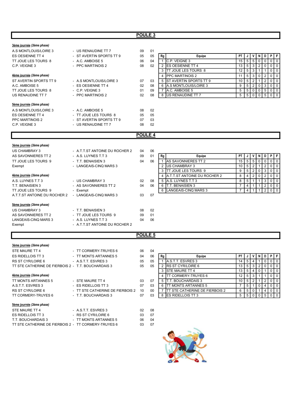## POULE<sub>3</sub>

| 3ème journée (2ème phase) |                          |    |    |    |                           |           |                |                |   |                |           |   |
|---------------------------|--------------------------|----|----|----|---------------------------|-----------|----------------|----------------|---|----------------|-----------|---|
| A.S MONTLOUIS/LOIRE 3     | - US RENAUDINE TT 7      | 09 | 01 |    |                           |           |                |                |   |                |           |   |
| ES OESIENNE TT 4          | - ST AVERTIN SPORTS TT 9 | 05 | 05 | Rg | Equipe                    | <b>PT</b> |                | v              | N | D              | PIF       |   |
| TT JOUE LES TOURS 8       | $-$ A.C. AMBOISE 5       | 06 | 04 |    | IC.P. VEIGNE 3            | 15        | 5              | 5              | 0 | 0              | $01$ 0    |   |
| C.P. VEIGNE 3             | - PPC MARTINOIS 2        | 08 | 02 |    | 2 IES OESIENNE TT 4       | 13        | 5              | 3              | 2 | $\Omega$       | $01$ 0    |   |
|                           |                          |    |    |    | 3 ITT JOUE LES TOURS 8    | 12        | 5              | 3              |   |                | $0$   0   |   |
| 4ème journée (2ème phase) |                          |    |    |    | 4 <b>IPPC MARTINOIS 2</b> |           | 5              | 3 <sup>1</sup> | 0 | $\overline{2}$ | $0$   $0$ |   |
| ST AVERTIN SPORTS TT 9    | - A.S MONTLOUIS/LOIRE 3  | 07 | 03 |    | 5 IST AVERTIN SPORTS TT 9 | 10        | 5              | $\overline{2}$ |   | 2              | 0         | 0 |
| A.C. AMBOISE 5            | - ES OESIENNE TT 4       | 02 | 08 |    | 6 A.S MONTLOUIS/LOIRE 3   | 9         | 5              | 2              |   | 3              | $0$   0   |   |
| TT JOUE LES TOURS 8       | $-C.P.$ VEIGNE 3         | 01 | 09 |    | IA.C. AMBOISE 5           | 5         | 5 <sup>1</sup> | $\overline{0}$ | 0 | 5 <sup>1</sup> | $0$   0   |   |
| US RENAUDINE TT 7         | - PPC MARTINOIS 2        | 02 | 08 |    | 8 US RENAUDINE TT 7       | 5         | 5 <sub>1</sub> | $\overline{0}$ | 0 |                | 5 0 0     |   |
|                           |                          |    |    |    |                           |           |                |                |   |                |           |   |
| 5ème journée (2ème phase) |                          |    |    |    |                           |           |                |                |   |                |           |   |
| A.S MONTLOUIS/LOIRE 3     | $-$ A.C. AMBOISE 5       | 08 | 02 |    |                           |           |                |                |   |                |           |   |
| ES OESIENNE TT 4          | - TT JOUE LES TOURS 8    | 05 | 05 |    |                           |           |                |                |   |                |           |   |
| <b>PPC MARTINOIS 2</b>    | - ST AVERTIN SPORTS TT 9 | 07 | 03 |    |                           |           |                |                |   |                |           |   |
| C.P. VEIGNE 3             | - US RENAUDINE TT 7      | 08 | 02 |    |                           |           |                |                |   |                |           |   |
|                           |                          |    |    |    |                           |           |                |                |   |                |           |   |

| ັ  |    |                          |    |   |   |   |                |   |  |
|----|----|--------------------------|----|---|---|---|----------------|---|--|
| 05 | Rg | Equipe                   | PT |   |   | N |                | Р |  |
| 04 |    | C.P. VEIGNE 3            | 15 | 5 | 5 | U | 0              | U |  |
| 02 | っ  | <b>IES OESIENNE TT 4</b> | 13 | 5 |   |   | U              |   |  |
|    | 3  | TT JOUE LES TOURS 8      | 12 | 5 | 3 |   |                |   |  |
|    |    | <b>IPPC MARTINOIS 2</b>  | 11 | 5 | 3 | 0 | $\overline{2}$ | O |  |
| 03 | 5  | IST AVERTIN SPORTS TT 9  | 10 | 5 |   |   | 2              | O |  |
| 08 | 6  | A.S MONTLOUIS/LOIRE 3    | 9  | 5 |   | 0 | 3              | O |  |
| 09 |    | A.C. AMBOISE 5           | 5  | 5 |   | U | 5              | O |  |
| 08 | 8  | US RENAUDINE TT 7        | 5  | 5 |   |   | 5              |   |  |

## POULE 4

| 3ème journée (2ème phase)    |                                |    |    |    |                                 |           |   |                |   |     |             |           |
|------------------------------|--------------------------------|----|----|----|---------------------------------|-----------|---|----------------|---|-----|-------------|-----------|
| US CHAMBRAY 3                | - A.T.T.ST ANTOINE DU ROCHER 2 | 04 | 06 |    |                                 |           |   |                |   |     |             |           |
| AS SAVONNIERES TT 2          | - A.S. LUYNES T.T 3            | 09 | 01 | Rg | Equipe                          | <b>PT</b> |   | v              | N | D   |             | PF        |
| TT JOUE LES TOURS 9          | - T.T. BENAISIEN 3             | 04 | 06 |    | <b>IAS SAVONNIERES TT 2</b>     | 15        | 5 | 5 <sup>5</sup> | 0 | 0 I | $0$   0     |           |
| Exempt                       | - LANGEAIS-CINQ MARS 3         |    |    |    | 2 IUS CHAMBRAY 3                | 10        | 5 | $\overline{2}$ |   |     |             | $0$   $0$ |
|                              |                                |    |    |    | 3 ITT JOUE LES TOURS 9          | 9         | 5 | 2 <sup>1</sup> | 0 | 3 I | 0 0         |           |
| 4ème journée (2ème phase)    |                                |    |    |    | 4 IA.T.T.ST ANTOINE DU ROCHER 2 | 8         |   | 2              | 0 | 2   |             | $0$   $0$ |
| A.S. LUYNES T.T.3            | - US CHAMBRAY 3                | 02 | 08 |    | 5 A.S. LUYNES T.T 3             | 8         | 5 |                |   | 3   | $\mathbf 0$ | l 0       |
| T.T. BENAISIEN 3             | - AS SAVONNIERES TT 2          | 04 | 06 |    | 6 IT.T. BENAISIEN 3             |           | 4 |                |   | 2   | $0$   0     |           |
| TT JOUE LES TOURS 9          | - Exempt                       |    |    |    | 6 LANGEAIS-CINQ MARS 3          |           | 4 |                |   |     | 2 0 0       |           |
| A.T.T.ST ANTOINE DU ROCHER 2 | - LANGEAIS-CINQ MARS 3         | 03 | 07 |    |                                 |           |   |                |   |     |             |           |
| 5ème journée (2ème phase)    |                                |    |    |    |                                 |           |   |                |   |     |             |           |
| US CHAMBRAY 3                | - T.T. BENAISIEN 3             | 08 | 02 |    |                                 |           |   |                |   |     |             |           |
| AS SAVONNIERES TT 2          | - TT JOUE LES TOURS 9          | 09 | 01 |    |                                 |           |   |                |   |     |             |           |
| LANGEAIS-CINQ MARS 3         | - A.S. LUYNES T.T 3            | 04 | 06 |    |                                 |           |   |                |   |     |             |           |
| Exempt                       | - A.T.T.ST ANTOINE DU ROCHER 2 |    |    |    |                                 |           |   |                |   |     |             |           |

|   | Rg | Equipe                               | P٦ |   |   |   |  |  |
|---|----|--------------------------------------|----|---|---|---|--|--|
| 6 |    | AS SAVONNIERES TT 2                  | 15 | 5 | 5 | 0 |  |  |
|   | າ  | US CHAMBRAY 3                        | 10 | 5 |   |   |  |  |
|   | 3  | <b>ITT JOUE LES TOURS 9</b>          | 9  | 5 |   | O |  |  |
|   |    | <b>IA.T.T.ST ANTOINE DU ROCHER 2</b> | 8  |   |   | O |  |  |
| 8 | 5  | IA.S. LUYNES T.T 3                   | 8  | 5 |   |   |  |  |
| հ | 6  | T.T. BENAISIEN 3                     |    |   |   |   |  |  |
|   | 6  | <b>LANGEAIS-CINQ MARS 3</b>          |    |   |   |   |  |  |
|   |    |                                      |    |   |   |   |  |  |

## POULE<sub>5</sub>

## 3ème journée (2ème phase)

| STE MAURE TT 4                                       | - TT CORMERY-TRUYES 6            | 06 | 04 |    |                                        |    |                |                |                |                |             |               |
|------------------------------------------------------|----------------------------------|----|----|----|----------------------------------------|----|----------------|----------------|----------------|----------------|-------------|---------------|
| ES RIDELLOIS TT 3                                    | - TT MONTS ARTANNES 5            | 04 | 06 | Rg | Equipe                                 | PT |                |                | N              |                |             | PFI           |
| RS ST CYR/LOIRE 6                                    | - A.S.T.T. ESVRES 3              | 05 | 05 |    | <b>IA.S.T.T. ESVRES 3</b>              | 14 | 5 <sup>1</sup> | -4             |                |                |             | $0 1 0 1 0 1$ |
| TT STE CATHERINE DE FIERBOIS 2 - T.T. BOUCHARDAIS 3  |                                  | 05 | 05 |    | <b>IRS ST CYR/LOIRE 6</b>              | 13 | 5              | 3              | $\overline{2}$ | $\overline{0}$ |             | 00            |
|                                                      |                                  |    |    |    | 3 ISTE MAURE TT 4                      | 13 | 5              | 4              |                |                | $\mathbf 0$ | l 0           |
| 4ème journée (2ème phase)                            |                                  |    |    |    | <b>ITT CORMERY-TRUYES 6</b>            | 12 | 5 <sup>5</sup> | 3              |                |                |             | 0 1 0 1       |
| TT MONTS ARTANNES 5                                  | - STE MAURE TT 4                 | 03 | 07 |    | 5 IT.T. BOUCHARDAIS 3                  | 10 | 5              | $\overline{2}$ |                | 2              |             | $0$   $0$     |
| A.S.T.T. ESVRES 3                                    | - ES RIDELLOIS TT 3              | 07 | 03 | 6  | <b>ITT MONTS ARTANNES 5</b>            |    | 5 <sup>1</sup> |                |                | 4              |             | 00            |
| RS ST CYR/LOIRE 6                                    | - TT STE CATHERINE DE FIERBOIS 2 | 10 | 00 |    | <b>ITT STE CATHERINE DE FIERBOIS 2</b> | 6  | 5 <sup>1</sup> | 0              |                |                |             | 4   0   0     |
| TT CORMERY-TRUYES 6                                  | - T.T. BOUCHARDAIS 3             | 07 | 03 |    | 8 <b>IES RIDELLOIS TT 3</b>            | 5  | 5 <sup>1</sup> | $\mathbf 0$    | 0              | <sup>5</sup>   |             | $0 1 0 1$     |
| 5ème journée (2ème phase)                            |                                  |    |    |    |                                        |    |                |                |                |                |             |               |
| STE MAURE TT 4                                       | - A.S.T.T. ESVRES 3              | 02 | 08 |    |                                        |    |                |                |                |                |             |               |
| ES RIDELLOIS TT 3                                    | - RS ST CYR/LOIRE 6              | 03 | 07 |    |                                        |    |                |                |                |                |             |               |
| T.T. BOUCHARDAIS 3                                   | - TT MONTS ARTANNES 5            | 06 | 04 |    |                                        |    |                |                |                |                |             |               |
| TT STE CATHERINE DE FIERBOIS 2 - TT CORMERY-TRUYES 6 |                                  | 03 | 07 |    |                                        |    |                |                |                |                |             |               |

| 6  | Rg | Equipe                         | ΡT |   |   | N | D |  |
|----|----|--------------------------------|----|---|---|---|---|--|
| 15 |    | <b>IA.S.T.T. ESVRES 3</b>      | 14 | 5 |   |   |   |  |
| 15 | 2  | <b>IRS ST CYR/LOIRE 6</b>      | 13 | 5 | 3 |   | U |  |
|    | 3  | STE MAURE TT 4                 | 13 | 5 | 4 | 0 |   |  |
|    | 4  | TT CORMERY-TRUYES 6            | 12 | 5 | 3 |   |   |  |
| 17 | 5  | T.T. BOUCHARDAIS 3             | 10 | 5 |   |   |   |  |
| ß  | 6  | TT MONTS ARTANNES 5            |    | 5 |   |   | 4 |  |
| Ю  |    | TT STE CATHERINE DE FIERBOIS 2 | 6  | 5 | O |   |   |  |
| ß  | 8  | <b>ES RIDELLOIS TT 3</b>       | 5  | 5 |   |   | 5 |  |

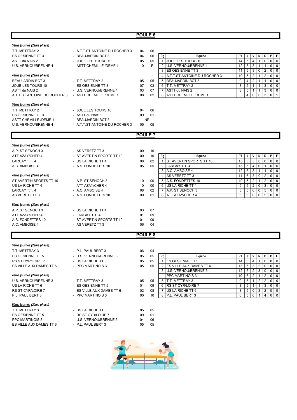## POULE 6

| 3ème journée (2ème phase)        |                                |                |    |                                    |                                                                                                   |
|----------------------------------|--------------------------------|----------------|----|------------------------------------|---------------------------------------------------------------------------------------------------|
| T.T. METTRAY 2                   | - A.T.T.ST ANTOINE DU ROCHER 3 | 04             | 06 |                                    |                                                                                                   |
| ES OESIENNE TT 3                 | - BEAUJARDIN BCT 3             | 04             | 06 | Rg<br><b>Equipe</b>                | PT<br>V<br>N<br>D<br>P<br>F<br>J                                                                  |
| ASTT du NAIS 2                   | - JOUE LES TOURS 10            | 05             | 05 | JOUE LES TOURS 10<br>$\mathbf{1}$  | 5<br>$\overline{4}$<br>$\mathbf 0$<br>$\mathbf 0$<br>$\mathbf 0$<br>14                            |
| U.S. VERNOU/BRENNE 4             | - ASTT CHEMILLE /DEME 1        | 10             | F  | U.S. VERNOU/BRENNE 4<br>2          | 3<br>12<br>5<br>$\mathbf{1}$<br>0<br>$\mathbf{1}$<br>$\mathbf 0$                                  |
|                                  |                                |                |    | <b>IES OESIENNE TT 3</b><br>3      | $\,$ 5 $\,$<br>$\overline{3}$<br>$\overline{2}$<br>$\overline{0}$<br>$\mathbf 0$<br>11<br>0       |
| <u>4ème journée</u> (2ème phase) |                                |                |    | A.T.T.ST ANTOINE DU ROCHER 3<br>4  | $\overline{2}$<br>$\,$ 5 $\,$<br>$\overline{2}$<br>10<br>$\mathbf 0$<br>$\mathbf 0$               |
|                                  |                                |                |    |                                    | $\mathbf{1}$                                                                                      |
| <b>BEAUJARDIN BCT 3</b>          | - T.T. METTRAY 2               | 05             | 05 | <b>BEAUJARDIN BCT 3</b><br>5       | $\overline{2}$<br>9<br>4<br>0<br>$\mathbf 0$<br>$\mathbf{1}$                                      |
| JOUE LES TOURS 10                | - ES OESIENNE TT 3             | 07             | 03 | T.T. METTRAY 2<br>6                | 8<br>5<br>$\mathbf{1}$<br>3<br>$\mathbf 0$<br>0<br>$\mathbf{1}$                                   |
| ASTT du NAIS 2                   | - U.S. VERNOU/BRENNE 4         | 03             | 07 | ASTT du NAIS 2<br>$\overline{7}$   | 8<br>5<br>3<br>$\mathbf 0$<br>$\mathbf 0$<br>$\overline{1}$<br>$\vert$ 1                          |
| A.T.T.ST ANTOINE DU ROCHER 3     | - ASTT CHEMILLE /DEME 1        | 08             | 02 | <b>ASTT CHEMILLE /DEME 1</b><br>8  | 3<br>$0$   0<br>3<br>0<br>4<br>$\overline{1}$                                                     |
| 5ème journée (2ème phase)        |                                |                |    |                                    |                                                                                                   |
| T.T. METTRAY 2                   | - JOUE LES TOURS 10            | 04             | 06 |                                    |                                                                                                   |
| ES OESIENNE TT 3                 | - ASTT du NAIS 2               | 09             | 01 |                                    |                                                                                                   |
| <b>ASTT CHEMILLE /DEME 1</b>     | - BEAUJARDIN BCT 3             | <b>NP</b>      |    |                                    |                                                                                                   |
| U.S. VERNOU/BRENNE 4             | - A.T.T.ST ANTOINE DU ROCHER 3 | 05             | 05 |                                    |                                                                                                   |
|                                  |                                |                |    |                                    |                                                                                                   |
|                                  |                                | <b>POULE 7</b> |    |                                    |                                                                                                   |
|                                  |                                |                |    |                                    |                                                                                                   |
| 3ème journée (2ème phase)        |                                |                |    |                                    |                                                                                                   |
| A.P. ST SENOCH 3                 | - AS VERETZ TT 3               | 00             | 10 |                                    |                                                                                                   |
| ATT AZAY/CHER 4                  | - ST AVERTIN SPORTS TT 10      | 00             | 10 | Rg<br><b>Equipe</b>                | ۷<br>N<br>D<br>P<br>PT.<br>J<br>F                                                                 |
| LARCAY T.T. 4                    | - US LA RICHE TT 4             | 08             | 02 | 1 ST AVERTIN SPORTS TT 10          | 5<br>5<br>15<br>$\mathbf 0$<br>$\mathbf 0$<br>$\mathbf 0$<br>$\mathbf 0$                          |
| A.C. AMBOISE 4                   | - A.S. FONDETTES 10            | 05             | 05 | LARCAY T.T. 4<br>2                 | 5<br>$\overline{4}$<br>13<br>$\mathbf 0$<br>0<br>$\mathbf{1}$<br>$\mathbf 0$                      |
|                                  |                                |                |    | A.C. AMBOISE 4<br>3                | $\mathbf{3}$<br>5<br>12<br>$\mathbf{1}$<br>$\mathbf 0$<br>$\mathbf{1}$<br>$\mathbf 0$             |
| <u>4ème journée</u> (2ème phase) |                                |                |    | AS VERETZ TT 3<br>4                | 3<br>5<br>$\overline{2}$<br>11<br>$\mathbf 0$<br>0<br>$\mathbf{0}$                                |
| ST AVERTIN SPORTS TT 10          | - A.P. ST SENOCH 3             | 10             | 00 | A.S. FONDETTES 10<br>5             | $\,$ 5 $\,$<br>$\sqrt{2}$<br>2<br>10<br>0<br>0<br>$\mathbf{1}$                                    |
| US LA RICHE TT 4                 | - ATT AZAY/CHER 4              | 10             | 00 | <b>I</b> US LA RICHE TT 4<br>6     | $\sqrt{2}$<br>3<br>9<br>5<br>$\mathbf 0$<br>0<br>$\mathbf 0$                                      |
| LARCAY T.T. 4                    | - A.C. AMBOISE 4               | 08             | 02 | A.P. ST SENOCH 3<br>$\overline{7}$ | 5<br>5<br>$\mathbf 0$<br>5<br>0<br>0<br>$\mathbf 0$                                               |
| AS VERETZ TT 3                   | - A.S. FONDETTES 10            | 09             | 01 | <b>ATT AZAY/CHER 4</b><br>8        | 5<br>$\mathbf 0$<br>5<br>$\mathbf 0$<br>$\mathbf 0$<br>5<br>$\mathbf 0$                           |
| Sème journée (2ème phase)        |                                |                |    |                                    |                                                                                                   |
| A.P. ST SENOCH 3                 | - US LA RICHE TT 4             | 03             | 07 |                                    |                                                                                                   |
| ATT AZAY/CHER 4                  | - LARCAY T.T. 4                | 01             | 09 |                                    |                                                                                                   |
| A.S. FONDETTES 10                | - ST AVERTIN SPORTS TT 10      | 01             | 09 |                                    |                                                                                                   |
| A.C. AMBOISE 4                   | - AS VERETZ TT 3               | 06             | 04 |                                    |                                                                                                   |
|                                  |                                |                |    |                                    |                                                                                                   |
|                                  |                                | <b>POULE 8</b> |    |                                    |                                                                                                   |
|                                  |                                |                |    |                                    |                                                                                                   |
| 3ème journée (2ème phase)        |                                |                |    |                                    |                                                                                                   |
| T.T. METTRAY 3                   | - P.L. PAUL BERT 3             | 06             | 04 |                                    |                                                                                                   |
| ES OESIENNE TT 5                 | - U.S. VERNOU/BRENNE 3         | 05             | 05 | Rg<br>Equipe                       | PT.<br>V<br>N<br>D<br>P<br>J<br>IF.                                                               |
| RS ST CYR/LOIRE 7                | - US LA RICHE TT 6             | 05             | 05 | 1 <b>IES OESIENNE TT 5</b>         | $\overline{4}$<br>$\mathbf 0$<br>$\mathbf 0$<br>14<br>5<br>$\vert$ 1<br>0                         |
| ES VILLE AUX DAMES TT 6          | - PPC MARTINOIS 3              | 05             | 05 | 2 ES VILLE AUX DAMES TT 6          | $5 \mid 3 \mid 2 \mid 0$<br>$\overline{0}$<br>13<br>$\overline{0}$                                |
|                                  |                                |                |    | 3 U.S. VERNOU/BRENNE 3             | $\overline{2}$<br>$\overline{\mathbf{3}}$<br>$\mathbf 0$<br>12<br>5<br>$\mathbf 0$<br>$\mathbf 0$ |
| 4ème journée (2ème phase)        |                                |                |    | <b>PPC MARTINOIS 3</b><br>4        | $\overline{2}$<br>$\overline{2}$<br>5<br>10<br>$\Omega$<br>$\mathbf 0$                            |
| U.S. VERNOU/BRENNE 3             | - T.T. METTRAY 3               | 05             | 05 | T.T. METTRAY 3<br>5                | 5<br>$\mathbf{1}$<br>$\overline{2}$<br>$\overline{2}$<br>9<br>0<br>$\mathbf 0$                    |
| US LA RICHE TT 6                 | - ES OESIENNE TT 5             | 01             | 09 | <b>RS ST CYR/LOIRE 7</b><br>6      | 8<br>5<br>$\mathbf{1}$<br>3<br>$\mathbf{1}$<br>0<br>0                                             |
| RS ST CYR/LOIRE 7                | - ES VILLE AUX DAMES TT 6      | 02             | 08 | US LA RICHE TT 6<br>7              | 5<br>$\mathbf 0$<br>$\overline{3}$<br>$\overline{2}$<br>8<br>0<br>$\mathbf 0$                     |
| P.L. PAUL BERT 3                 | - PPC MARTINOIS 3              | 00             | 10 | 8 P.L. PAUL BERT 3                 | $\overline{0}$<br>6<br>5<br>$\overline{4}$<br>$\vert$ 1<br>$\mathbf 0$<br>$\overline{0}$          |
|                                  |                                |                |    |                                    |                                                                                                   |
| 5ème journée (2ème phase)        |                                |                |    |                                    |                                                                                                   |
| T.T. METTRAY 3                   | - US LA RICHE TT 6             | 05             | 05 |                                    |                                                                                                   |
| ES OESIENNE TT 5                 | - RS ST CYR/LOIRE 7            | 09             | 01 |                                    |                                                                                                   |
| PPC MARTINOIS 3                  | - U.S. VERNOU/BRENNE 3         | 04             | 06 |                                    |                                                                                                   |
| ES VILLE AUX DAMES TT 6          | - P.L. PAUL BERT 3             | 05             | 05 |                                    |                                                                                                   |

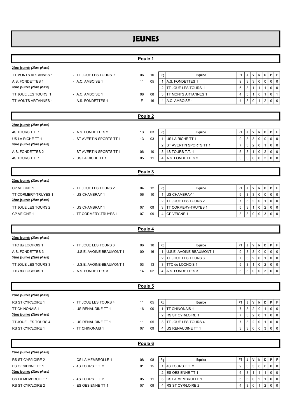## JEUNES

|                           |                            | Poule 1            |        |                                                |                                                                                                       |
|---------------------------|----------------------------|--------------------|--------|------------------------------------------------|-------------------------------------------------------------------------------------------------------|
| 2ème journée (2ème phase) |                            |                    |        |                                                |                                                                                                       |
| TT MONTS ARTANNES 1       | - TT JOUE LES TOURS 1      | 06                 | 10     | ${\sf Rg}$<br><b>Equipe</b>                    | PT<br>٧<br>P<br>ΙF<br>N<br>D<br>J                                                                     |
| A.S. FONDETTES 1          | - A.C. AMBOISE 1           | 11                 | 05     | 1 A.S. FONDETTES 1                             | 3<br>$\mathbf 0$<br>$\mathbf 0$<br>9<br>3<br>$\mathbf 0$<br>0                                         |
| 3ème journée (2ème phase) |                            |                    |        | $\overline{2}$<br><b>ITT JOUE LES TOURS 1</b>  | $6\phantom{1}$<br>3<br>$\mathbf{1}$<br>0<br>$\mathbf 0$<br>$\mathbf{1}$<br>$\mathbf{1}$               |
| TT JOUE LES TOURS 1       | - A.C. AMBOISE 1           | 08                 | 08     | 3 TT MONTS ARTANNES 1                          | 3<br>$\mathbf 0$<br>0<br>$\overline{4}$<br>$\mathbf{1}$<br>$\mathbf{1}$<br>$\mathbf{1}$               |
| TT MONTS ARTANNES 1       | - A.S. FONDETTES 1         | F                  | 16     | A.C. AMBOISE 1<br>4                            | 3<br>$\mathbf 0$<br>$\overline{2}$<br>$\mathbf 0$<br>$\mathbf 0$<br>$\overline{4}$<br>$\mathbf{1}$    |
|                           |                            |                    |        |                                                |                                                                                                       |
|                           |                            | Poule <sub>2</sub> |        |                                                |                                                                                                       |
| 2ème journée (2ème phase) |                            |                    |        |                                                |                                                                                                       |
| 4S TOURS T.T. 1           | - A.S. FONDETTES 2         | 13                 | 03     | ${\sf Rg}$<br>Equipe                           | P<br>PT<br>V<br>N<br>D<br>F<br>J                                                                      |
| US LA RICHE TT 1          | - ST AVERTIN SPORTS TT 1   | 13                 | 03     | 1 US LA RICHE TT 1                             | $\mathbf{3}$<br>$\mathbf 0$<br>9<br>3<br>$\mathbf 0$<br>0<br>$\mathbf 0$                              |
| 3ème journée (2ème phase) |                            |                    |        | 2 ST AVERTIN SPORTS TT 1                       | $\overline{2}$<br>$\overline{7}$<br>3<br>$\mathbf 0$<br>0<br>$\mathbf 0$<br>$\mathbf{1}$              |
| A.S. FONDETTES 2          | ST AVERTIN SPORTS TT 1     | 06                 | 10     | 3 4S TOURS T.T. 1                              | 5<br>$\sqrt{2}$<br>3<br>$\mathbf 0$<br>$\mathbf 0$<br>$\mathbf 0$<br>$\mathbf{1}$                     |
| 4S TOURS T.T. 1           | - US LA RICHE TT 1         | 05                 | 11     | A.S. FONDETTES 2<br>$\overline{4}$             | 3<br>$\Omega$<br>3<br>$\Omega$<br>$\mathbf 0$<br>3<br>$\mathbf{0}$                                    |
|                           |                            | Poule 3            |        |                                                |                                                                                                       |
| 2ème journée (2ème phase) |                            |                    |        |                                                |                                                                                                       |
| CP VEIGNE 1               | - TT JOUE LES TOURS 2      | 04                 | 12     | Rg<br>Equipe                                   | F<br>V<br>P<br>PT<br>N<br>D<br>J                                                                      |
| TT CORMERY-TRUYES 1       | - US CHAMBRAY 1            | 06                 | 10     | 1 US CHAMBRAY 1                                | $\mathbf{3}$<br>9<br>0<br>3<br>$\mathbf 0$<br>$\mathbf 0$<br>$\Omega$                                 |
| 3ème journée (2ème phase) |                            |                    |        | $\overline{2}$<br><b>I</b> TT JOUE LES TOURS 2 | $\sqrt{2}$<br>$\overline{7}$<br>3<br>$\mathbf 0$<br>0<br>$\mathbf 0$<br>$\mathbf{1}$                  |
| TT JOUE LES TOURS 2       | - US CHAMBRAY 1            | 07                 | 09     | 3<br><b>TT CORMERY-TRUYES 1</b>                | 5<br>3<br>$\mathbf 0$<br>$\overline{2}$<br>$\mathbf{1}$<br>0<br>$\mathbf 0$                           |
| CP VEIGNE 1               | - TT CORMERY-TRUYES 1      | 07                 | 09     | CP VEIGNE 1<br>4                               | $\mathbf{3}$<br>$\mathbf{3}$<br>$\mathbf 0$<br>$\mathbf{3}$<br>$\mathbf 0$<br>$\mathbf 0$<br>$\Omega$ |
|                           |                            |                    |        |                                                |                                                                                                       |
|                           |                            |                    |        |                                                |                                                                                                       |
|                           |                            | Poule 4            |        |                                                |                                                                                                       |
| 2ème journée (2ème phase) |                            |                    |        |                                                |                                                                                                       |
| TTC du LOCHOIS 1          | - TT JOUE LES TOURS 3      | 06                 | 10     | Rg<br>Equipe                                   | V<br>P<br>F<br>PT<br>D<br>N<br>J                                                                      |
| A.S. FONDETTES 3          | - U.S.E. AVOINE-BEAUMONT 1 | 00                 | 16     | 1 <b>I</b> U.S.E. AVOINE-BEAUMONT 1            | $\mathbf{3}$<br>9<br>3<br>$\mathbf 0$<br>0<br>$\mathbf 0$<br>$\mathbf 0$                              |
| 3ème journée (2ème phase) |                            |                    |        | <b>ITT JOUE LES TOURS 3</b><br>$\overline{2}$  | $\overline{2}$<br>$\overline{7}$<br>3<br>$\mathbf 0$<br>0<br>$\mathbf 0$<br>-1                        |
| TT JOUE LES TOURS 3       | - U.S.E. AVOINE-BEAUMONT 1 | 03                 | 13     | 3<br><b>TTC du LOCHOIS 1</b>                   | 3<br>$\mathbf 0$<br>$\sqrt{2}$<br>0<br>$\mathbf 0$<br>5<br>$\mathbf{1}$                               |
| TTC du LOCHOIS 1          | - A.S. FONDETTES 3         | 14                 | 02     | 4 A.S. FONDETTES 3                             | 3<br>3<br>3<br>$\Omega$<br>$\mathbf{0}$<br>$\mathbf 0$<br>$\mathbf{0}$                                |
|                           |                            |                    |        |                                                |                                                                                                       |
|                           |                            | Poule 5            |        |                                                |                                                                                                       |
| 2ème journée (2ème phase) |                            |                    |        |                                                |                                                                                                       |
| RS ST CYR/LOIRE 1         | - TT JOUE LES TOURS 4      | 11                 | 05     | Rg<br>Equipe                                   | PT<br>٧<br>D<br>P<br>ΙF<br>J<br>N                                                                     |
| TT CHINONAIS 1            | - US RENAUDINE TT 1        | 16                 | $00\,$ | <b>TT CHINONAIS 1</b><br>$\mathbf{1}$          | $\overline{7}$<br>$\overline{2}$<br>3<br>$\mathbf 0$<br>0<br>$\mathbf 0$<br>-1                        |
| 3ème journée (2ème phase) |                            |                    |        | 2 RS ST CYR/LOIRE 1                            | $\overline{7}$<br>$\sqrt{3}$<br>$\overline{2}$<br>$\mathbf 0$<br>0<br>$\mathbf 0$<br>$\mathbf{1}$     |
| TT JOUE LES TOURS 4       | - US RENAUDINE TT 1        | 11                 | 05     | 3 <b>ITT JOUE LES TOURS 4</b>                  | $\overline{7}$<br>3<br>$\overline{2}$<br>0<br>$\mathbf 0$<br>$\mathbf 0$<br>$\mathbf{1}$              |
| RS ST CYR/LOIRE 1         | - TT CHINONAIS 1           | 07                 | 09     | US RENAUDINE TT 1<br>4                         | 3<br>$\mathbf 0$<br>3<br>$\mathbf 0$<br>$\mathbf 0$<br>3<br>$\mathbf{0}$                              |
|                           |                            | Poule 6            |        |                                                |                                                                                                       |
| 2ème journée (2ème phase) |                            |                    |        |                                                |                                                                                                       |
| RS ST CYR/LOIRE 2         | - CS LA MEMBROLLE 1        | 08                 | 08     | Equipe                                         | V<br>PT<br>N<br>D<br>P<br>F<br>J                                                                      |
| ES OESIENNE TT 1          | - 4S TOURS T.T. 2          | 01                 | 15     | Rg<br>1 4S TOURS T.T. 2                        | $\mathbf{3}$<br>9<br>3<br>$\mathbf 0$<br>$\mathbf 0$<br>0<br>$\mathbf 0$                              |
| 3ème journée (2ème phase) |                            |                    |        | $\overline{2}$<br><b>IES OESIENNE TT 1</b>     | 6<br>3<br>$\mathbf 0$<br>$\mathbf 0$<br>$\mathbf{1}$<br>$\mathbf{1}$<br>$\overline{1}$                |
| CS LA MEMBROLLE 1         | - 4S TOURS T.T. 2          | 05                 | 11     | <b>CS LA MEMBROLLE 1</b><br>3                  | 5<br>$\overline{2}$<br>$\mathbf 0$<br>$\mathsf 0$<br>3<br>$\mathbf 0$<br>1                            |